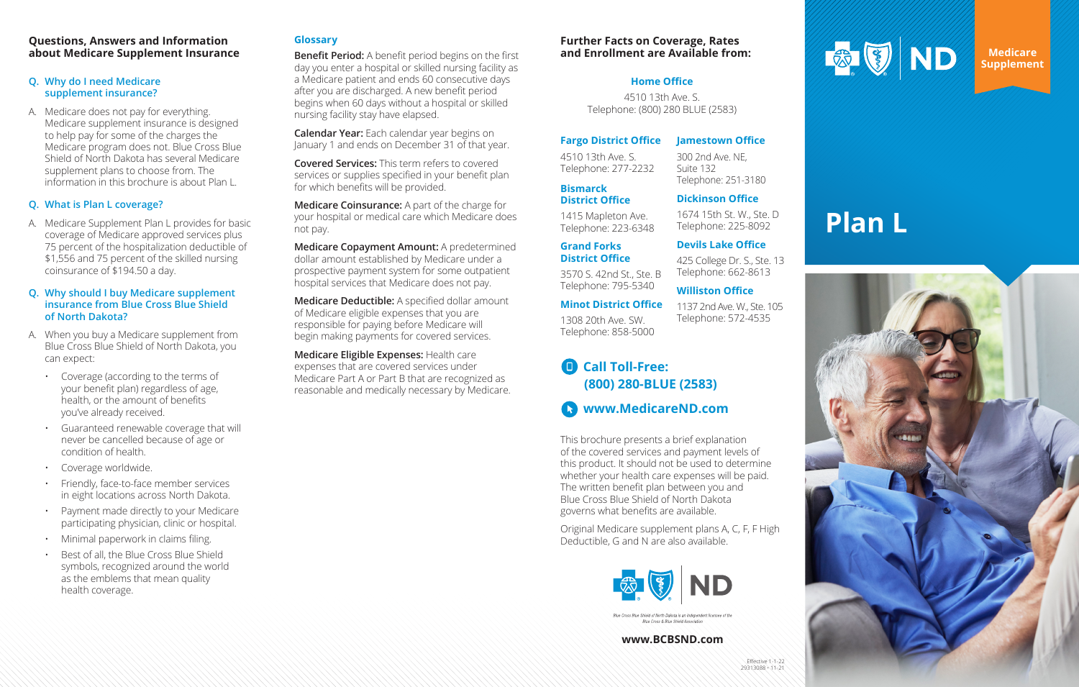## **Questions, Answers and Information about Medicare Supplement Insurance**

## **Q. Why do I need Medicare supplement insurance?**

A. Medicare does not pay for everything. Medicare supplement insurance is designed to help pay for some of the charges the Medicare program does not. Blue Cross Blue Shield of North Dakota has several Medicare supplement plans to choose from. The information in this brochure is about Plan L.

## **Q. What is Plan L coverage?**

A. Medicare Supplement Plan L provides for basic coverage of Medicare approved services plus 75 percent of the hospitalization deductible of \$1,556 and 75 percent of the skilled nursing coinsurance of \$194.50 a day.

## **Q. Why should I buy Medicare supplement insurance from Blue Cross Blue Shield of North Dakota?**

- A. When you buy a Medicare supplement from Blue Cross Blue Shield of North Dakota, you can expect:
	- Coverage (according to the terms of your benefit plan) regardless of age, health, or the amount of benefits you've already received.
	- Guaranteed renewable coverage that will never be cancelled because of age or condition of health.
	- Coverage worldwide.
	- Friendly, face-to-face member services in eight locations across North Dakota.
	- Payment made directly to your Medicare participating physician, clinic or hospital.
	- Minimal paperwork in claims filing.
	- Best of all, the Blue Cross Blue Shield symbols, recognized around the world as the emblems that mean quality health coverage.

Effective 1-1-22 29313088 • 11-21



## **Glossary**

**Benefit Period:** A benefit period begins on the first day you enter a hospital or skilled nursing facility as a Medicare patient and ends 60 consecutive days after you are discharged. A new benefit period begins when 60 days without a hospital or skilled nursing facility stay have elapsed.

**Calendar Year:** Each calendar year begins on January 1 and ends on December 31 of that year.

**Covered Services:** This term refers to covered services or supplies specified in your benefit plan for which benefits will be provided.

**Medicare Coinsurance:** A part of the charge for your hospital or medical care which Medicare does not pay.

**Medicare Copayment Amount:** A predetermined dollar amount established by Medicare under a prospective payment system for some outpatient hospital services that Medicare does not pay.

**Medicare Deductible:** A specified dollar amount of Medicare eligible expenses that you are responsible for paying before Medicare will begin making payments for covered services.

**Medicare Eligible Expenses:** Health care expenses that are covered services under Medicare Part A or Part B that are recognized as reasonable and medically necessary by Medicare.

> This brochure presents a brief explanation of the covered services and payment levels of this product. It should not be used to determine whether your health care expenses will be paid. The written benefit plan between you and Blue Cross Blue Shield of North Dakota governs what benefits are available.

Original Medicare supplement plans A, C, F, F High Deductible, G and N are also available.



Blue Cross & Blue Shield Associatio

**Medicare Supplement**

# **Plan L**



#### **www.BCBSND.com**

## **Further Facts on Coverage, Rates and Enrollment are Available from:**

## **Fargo District Office**

4510 13th Ave. S. Telephone: 277-2232

**Bismarck** 

**District Office** 1415 Mapleton Ave. Telephone: 223-6348

**Grand Forks District Office**

3570 S. 42nd St., Ste. B Telephone: 795-5340

#### **Jamestown Office**

300 2nd Ave. NE,

Suite 132

## Telephone: 251-3180 **Dickinson Office**

**Minot District Office** 1308 20th Ave. SW. Telephone: 858-5000 1137 2nd Ave. W., Ste. 105 Telephone: 572-4535

1674 15th St. W., Ste. D Telephone: 225-8092

## **Devils Lake Office**

425 College Dr. S., Ste. 13 Telephone: 662-8613

## **Williston Office**

## **Call Toll-Free:**   $\blacksquare$ **(800) 280-BLUE (2583)**

**www.MedicareND.com**

## **Home Office**

4510 13th Ave. S. Telephone: (800) 280 BLUE (2583)